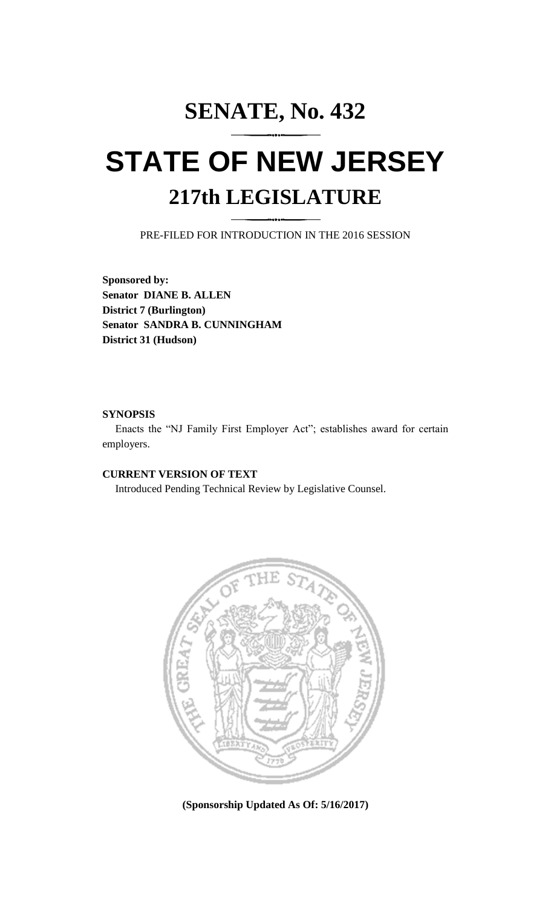# **SENATE, No. 432 STATE OF NEW JERSEY**

# **217th LEGISLATURE**

PRE-FILED FOR INTRODUCTION IN THE 2016 SESSION

**Sponsored by: Senator DIANE B. ALLEN District 7 (Burlington) Senator SANDRA B. CUNNINGHAM District 31 (Hudson)**

### **SYNOPSIS**

Enacts the "NJ Family First Employer Act"; establishes award for certain employers.

# **CURRENT VERSION OF TEXT**

Introduced Pending Technical Review by Legislative Counsel.



**(Sponsorship Updated As Of: 5/16/2017)**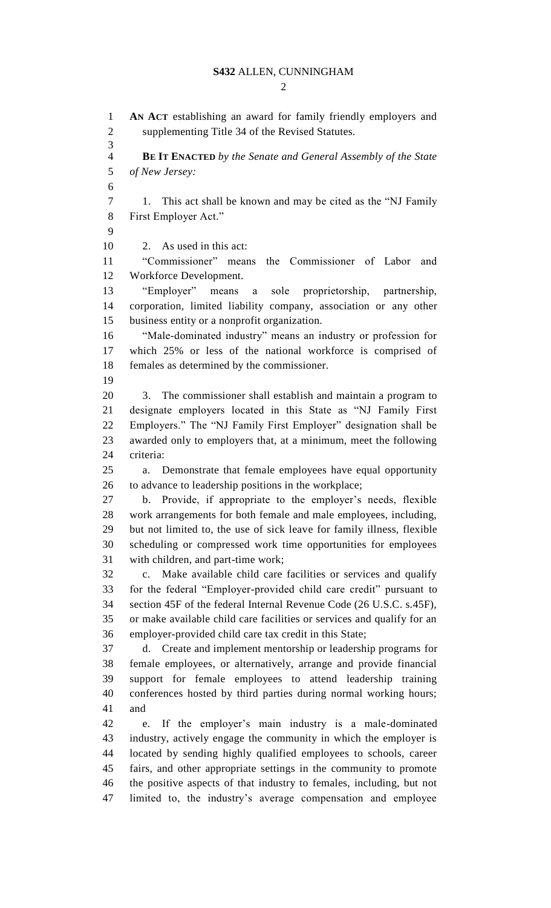#### **S432** ALLEN, CUNNINGHAM

 $\mathcal{D}$ 

 **AN ACT** establishing an award for family friendly employers and supplementing Title 34 of the Revised Statutes. **BE IT ENACTED** *by the Senate and General Assembly of the State of New Jersey:* 1. This act shall be known and may be cited as the "NJ Family First Employer Act." 2. As used in this act: "Commissioner" means the Commissioner of Labor and Workforce Development. "Employer" means a sole proprietorship, partnership, corporation, limited liability company, association or any other business entity or a nonprofit organization. "Male-dominated industry" means an industry or profession for which 25% or less of the national workforce is comprised of females as determined by the commissioner. 3. The commissioner shall establish and maintain a program to designate employers located in this State as "NJ Family First Employers." The "NJ Family First Employer" designation shall be awarded only to employers that, at a minimum, meet the following criteria: a. Demonstrate that female employees have equal opportunity to advance to leadership positions in the workplace; b. Provide, if appropriate to the employer's needs, flexible work arrangements for both female and male employees, including, but not limited to, the use of sick leave for family illness, flexible scheduling or compressed work time opportunities for employees with children, and part-time work; c. Make available child care facilities or services and qualify for the federal "Employer-provided child care credit" pursuant to section 45F of the federal Internal Revenue Code (26 U.S.C. s.45F), or make available child care facilities or services and qualify for an employer-provided child care tax credit in this State; d. Create and implement mentorship or leadership programs for female employees, or alternatively, arrange and provide financial support for female employees to attend leadership training conferences hosted by third parties during normal working hours; and e. If the employer's main industry is a male-dominated industry, actively engage the community in which the employer is located by sending highly qualified employees to schools, career fairs, and other appropriate settings in the community to promote the positive aspects of that industry to females, including, but not limited to, the industry's average compensation and employee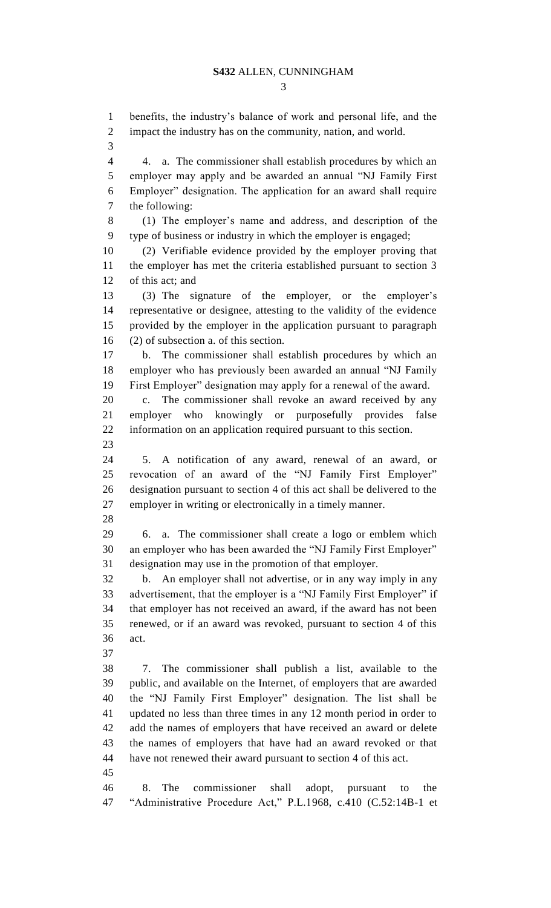benefits, the industry's balance of work and personal life, and the

impact the industry has on the community, nation, and world.

 4. a. The commissioner shall establish procedures by which an employer may apply and be awarded an annual "NJ Family First Employer" designation. The application for an award shall require the following: (1) The employer's name and address, and description of the type of business or industry in which the employer is engaged; (2) Verifiable evidence provided by the employer proving that the employer has met the criteria established pursuant to section 3 of this act; and (3) The signature of the employer, or the employer's representative or designee, attesting to the validity of the evidence provided by the employer in the application pursuant to paragraph (2) of subsection a. of this section. b. The commissioner shall establish procedures by which an employer who has previously been awarded an annual "NJ Family First Employer" designation may apply for a renewal of the award. c. The commissioner shall revoke an award received by any

 employer who knowingly or purposefully provides false information on an application required pursuant to this section. 

 5. A notification of any award, renewal of an award, or revocation of an award of the "NJ Family First Employer" designation pursuant to section 4 of this act shall be delivered to the employer in writing or electronically in a timely manner. 

 6. a. The commissioner shall create a logo or emblem which an employer who has been awarded the "NJ Family First Employer" designation may use in the promotion of that employer.

 b. An employer shall not advertise, or in any way imply in any advertisement, that the employer is a "NJ Family First Employer" if that employer has not received an award, if the award has not been renewed, or if an award was revoked, pursuant to section 4 of this act.

 7. The commissioner shall publish a list, available to the public, and available on the Internet, of employers that are awarded the "NJ Family First Employer" designation. The list shall be updated no less than three times in any 12 month period in order to add the names of employers that have received an award or delete the names of employers that have had an award revoked or that have not renewed their award pursuant to section 4 of this act. 

 8. The commissioner shall adopt, pursuant to the "Administrative Procedure Act," P.L.1968, c.410 (C.52:14B-1 et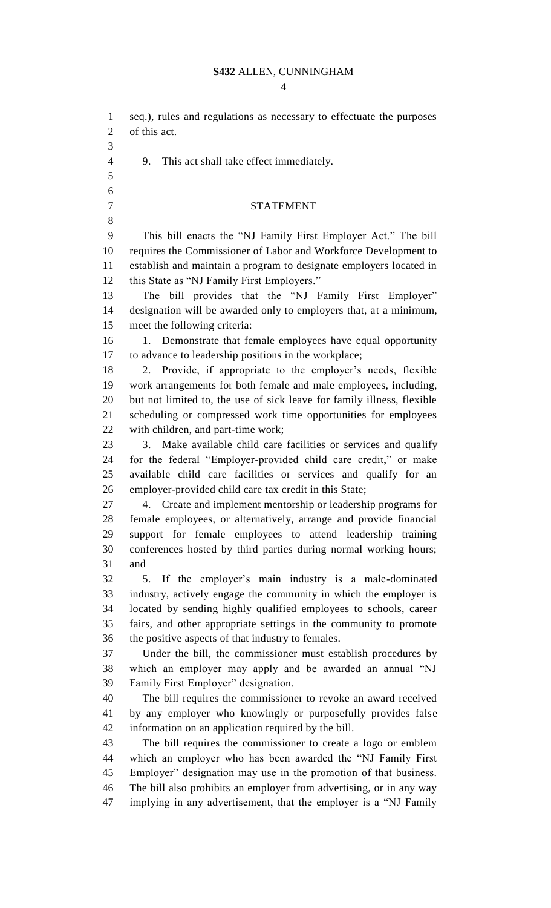# **S432** ALLEN, CUNNINGHAM

| $\mathbf{1}$   | seq.), rules and regulations as necessary to effectuate the purposes   |
|----------------|------------------------------------------------------------------------|
| $\overline{2}$ | of this act.                                                           |
| 3              |                                                                        |
| $\overline{4}$ | 9.<br>This act shall take effect immediately.                          |
| 5              |                                                                        |
| 6              |                                                                        |
| $\overline{7}$ | <b>STATEMENT</b>                                                       |
| 8              |                                                                        |
| 9              | This bill enacts the "NJ Family First Employer Act." The bill          |
| 10             | requires the Commissioner of Labor and Workforce Development to        |
| 11             | establish and maintain a program to designate employers located in     |
| 12             | this State as "NJ Family First Employers."                             |
| 13             | The bill provides that the "NJ Family First Employer"                  |
| 14             | designation will be awarded only to employers that, at a minimum,      |
| 15             | meet the following criteria:                                           |
| 16             | Demonstrate that female employees have equal opportunity<br>1.         |
| 17             | to advance to leadership positions in the workplace;                   |
| 18             |                                                                        |
|                | 2. Provide, if appropriate to the employer's needs, flexible           |
| 19             | work arrangements for both female and male employees, including,       |
| 20             | but not limited to, the use of sick leave for family illness, flexible |
| 21             | scheduling or compressed work time opportunities for employees         |
| 22             | with children, and part-time work;                                     |
| 23             | Make available child care facilities or services and qualify<br>3.     |
| 24             | for the federal "Employer-provided child care credit," or make         |
| 25             | available child care facilities or services and qualify for an         |
| 26             | employer-provided child care tax credit in this State;                 |
| 27             | 4. Create and implement mentorship or leadership programs for          |
| 28             | female employees, or alternatively, arrange and provide financial      |
| 29             | support for female employees to attend leadership training             |
| 30             | conferences hosted by third parties during normal working hours;       |
| 31             | and                                                                    |
| 32             | If the employer's main industry is a male-dominated<br>5.              |
| 33             | industry, actively engage the community in which the employer is       |
| 34             | located by sending highly qualified employees to schools, career       |
| 35             | fairs, and other appropriate settings in the community to promote      |
| 36             | the positive aspects of that industry to females.                      |
| 37             | Under the bill, the commissioner must establish procedures by          |
| 38             | which an employer may apply and be awarded an annual "NJ               |
| 39             | Family First Employer" designation.                                    |
| 40             | The bill requires the commissioner to revoke an award received         |
| 41             | by any employer who knowingly or purposefully provides false           |
| 42             | information on an application required by the bill.                    |
| 43             | The bill requires the commissioner to create a logo or emblem          |
| 44             | which an employer who has been awarded the "NJ Family First            |
| 45             | Employer" designation may use in the promotion of that business.       |
| 46             | The bill also prohibits an employer from advertising, or in any way    |
| 47             | implying in any advertisement, that the employer is a "NJ Family       |
|                |                                                                        |